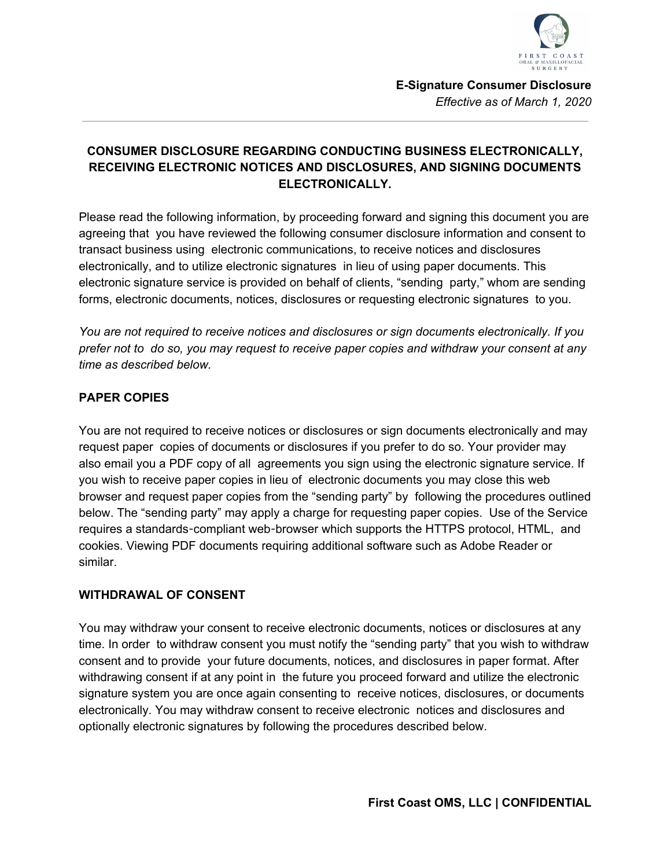

# **CONSUMER DISCLOSURE REGARDING CONDUCTING BUSINESS ELECTRONICALLY, RECEIVING ELECTRONIC NOTICES AND DISCLOSURES, AND SIGNING DOCUMENTS ELECTRONICALLY.**

Please read the following information, by proceeding forward and signing this document you are agreeing that you have reviewed the following consumer disclosure information and consent to transact business using electronic communications, to receive notices and disclosures electronically, and to utilize electronic signatures in lieu of using paper documents. This electronic signature service is provided on behalf of clients, "sending party," whom are sending forms, electronic documents, notices, disclosures or requesting electronic signatures to you.

*You are not required to receive notices and disclosures or sign documents electronically. If you prefer not to do so, you may request to receive paper copies and withdraw your consent at any time as described below.*

#### **PAPER COPIES**

You are not required to receive notices or disclosures or sign documents electronically and may request paper copies of documents or disclosures if you prefer to do so. Your provider may also email you a PDF copy of all agreements you sign using the electronic signature service. If you wish to receive paper copies in lieu of electronic documents you may close this web browser and request paper copies from the "sending party" by following the procedures outlined below. The "sending party" may apply a charge for requesting paper copies. Use of the Service requires a standards-compliant web-browser which supports the HTTPS protocol, HTML, and cookies. Viewing PDF documents requiring additional software such as Adobe Reader or similar.

#### **WITHDRAWAL OF CONSENT**

You may withdraw your consent to receive electronic documents, notices or disclosures at any time. In order to withdraw consent you must notify the "sending party" that you wish to withdraw consent and to provide your future documents, notices, and disclosures in paper format. After withdrawing consent if at any point in the future you proceed forward and utilize the electronic signature system you are once again consenting to receive notices, disclosures, or documents electronically. You may withdraw consent to receive electronic notices and disclosures and optionally electronic signatures by following the procedures described below.